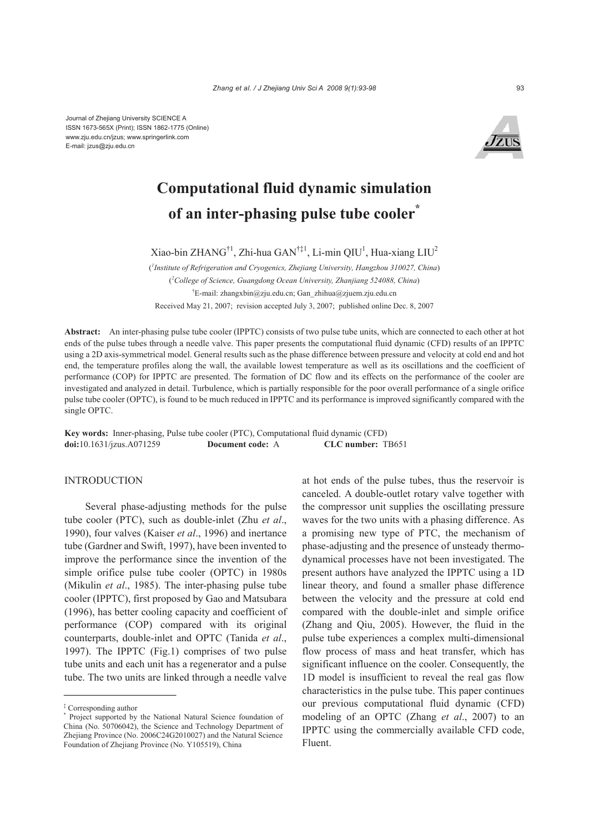

# **Computational fluid dynamic simulation of an inter-phasing pulse tube cooler\***

Xiao-bin ZHANG<sup>†1</sup>, Zhi-hua GAN<sup>†‡1</sup>, Li-min QIU<sup>1</sup>, Hua-xiang LIU<sup>2</sup>

( *1 Institute of Refrigeration and Cryogenics, Zhejiang University, Hangzhou 310027, China*) ( *2 College of Science, Guangdong Ocean University, Zhanjiang 524088, China*) † E-mail: zhangxbin@zju.edu.cn; Gan\_zhihua@zjuem.zju.edu.cn

Received May 21, 2007; revision accepted July 3, 2007; published online Dec. 8, 2007

**Abstract:** An inter-phasing pulse tube cooler (IPPTC) consists of two pulse tube units, which are connected to each other at hot ends of the pulse tubes through a needle valve. This paper presents the computational fluid dynamic (CFD) results of an IPPTC using a 2D axis-symmetrical model. General results such as the phase difference between pressure and velocity at cold end and hot end, the temperature profiles along the wall, the available lowest temperature as well as its oscillations and the coefficient of performance (COP) for IPPTC are presented. The formation of DC flow and its effects on the performance of the cooler are investigated and analyzed in detail. Turbulence, which is partially responsible for the poor overall performance of a single orifice pulse tube cooler (OPTC), is found to be much reduced in IPPTC and its performance is improved significantly compared with the single OPTC.

**Key words:** Inner-phasing, Pulse tube cooler (PTC), Computational fluid dynamic (CFD) **doi:**10.1631/jzus.A071259 **Document code:** A **CLC number:** TB651

# **INTRODUCTION**

Several phase-adjusting methods for the pulse tube cooler (PTC), such as double-inlet (Zhu *et al*., 1990), four valves (Kaiser *et al*., 1996) and inertance tube (Gardner and Swift, 1997), have been invented to improve the performance since the invention of the simple orifice pulse tube cooler (OPTC) in 1980s (Mikulin *et al*., 1985). The inter-phasing pulse tube cooler (IPPTC), first proposed by Gao and Matsubara (1996), has better cooling capacity and coefficient of performance (COP) compared with its original counterparts, double-inlet and OPTC (Tanida *et al*., 1997). The IPPTC (Fig.1) comprises of two pulse tube units and each unit has a regenerator and a pulse tube. The two units are linked through a needle valve

at hot ends of the pulse tubes, thus the reservoir is canceled. A double-outlet rotary valve together with the compressor unit supplies the oscillating pressure waves for the two units with a phasing difference. As a promising new type of PTC, the mechanism of phase-adjusting and the presence of unsteady thermodynamical processes have not been investigated. The present authors have analyzed the IPPTC using a 1D linear theory, and found a smaller phase difference between the velocity and the pressure at cold end compared with the double-inlet and simple orifice (Zhang and Qiu, 2005). However, the fluid in the pulse tube experiences a complex multi-dimensional flow process of mass and heat transfer, which has significant influence on the cooler. Consequently, the 1D model is insufficient to reveal the real gas flow characteristics in the pulse tube. This paper continues our previous computational fluid dynamic (CFD) modeling of an OPTC (Zhang *et al*., 2007) to an IPPTC using the commercially available CFD code, Fluent.

<sup>‡</sup> Corresponding author

<sup>\*</sup> Project supported by the National Natural Science foundation of China (No. 50706042), the Science and Technology Department of Zhejiang Province (No. 2006C24G2010027) and the Natural Science Foundation of Zhejiang Province (No. Y105519), China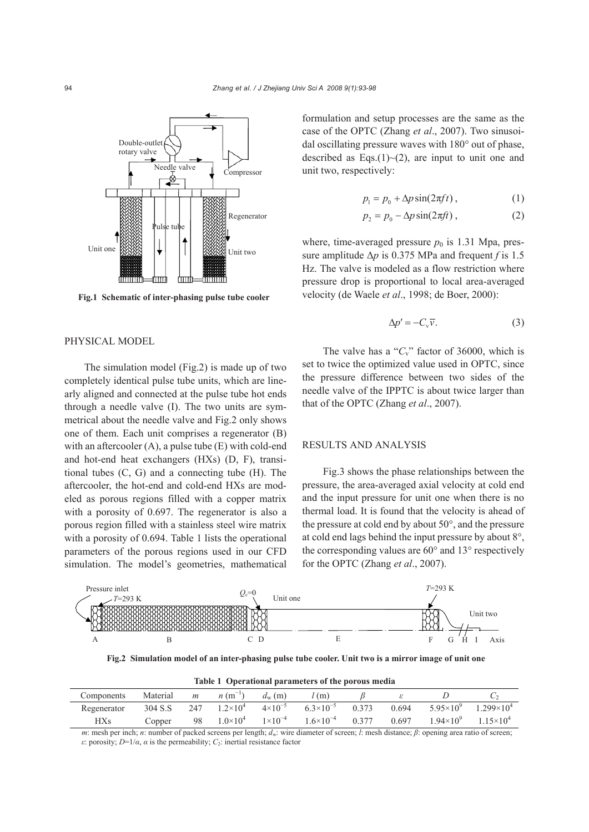

**Fig.1 Schematic of inter-phasing pulse tube cooler**

### PHYSICAL MODEL

The simulation model (Fig.2) is made up of two completely identical pulse tube units, which are linearly aligned and connected at the pulse tube hot ends through a needle valve (I). The two units are symmetrical about the needle valve and Fig.2 only shows one of them. Each unit comprises a regenerator (B) with an aftercooler  $(A)$ , a pulse tube  $(E)$  with cold-end and hot-end heat exchangers (HXs) (D, F), transitional tubes (C, G) and a connecting tube (H). The aftercooler, the hot-end and cold-end HXs are modeled as porous regions filled with a copper matrix with a porosity of 0.697. The regenerator is also a porous region filled with a stainless steel wire matrix with a porosity of 0.694. Table 1 lists the operational parameters of the porous regions used in our CFD simulation. The model's geometries, mathematical

formulation and setup processes are the same as the case of the OPTC (Zhang *et al*., 2007). Two sinusoidal oscillating pressure waves with 180° out of phase, described as Eqs.(1) $\sim$ (2), are input to unit one and unit two, respectively:

$$
p_1 = p_0 + \Delta p \sin(2\pi ft) , \qquad (1)
$$

$$
p_2 = p_0 - \Delta p \sin(2\pi ft) , \qquad (2)
$$

where, time-averaged pressure  $p_0$  is 1.31 Mpa, pressure amplitude  $\Delta p$  is 0.375 MPa and frequent *f* is 1.5 Hz. The valve is modeled as a flow restriction where pressure drop is proportional to local area-averaged velocity (de Waele *et al*., 1998; de Boer, 2000):

$$
\Delta p' = -C_{\rm v}\overline{v}.\tag{3}
$$

The valve has a " $C_v$ " factor of 36000, which is set to twice the optimized value used in OPTC, since the pressure difference between two sides of the needle valve of the IPPTC is about twice larger than that of the OPTC (Zhang *et al*., 2007).

#### RESULTS AND ANALYSIS

Fig.3 shows the phase relationships between the pressure, the area-averaged axial velocity at cold end and the input pressure for unit one when there is no thermal load. It is found that the velocity is ahead of the pressure at cold end by about 50°, and the pressure at cold end lags behind the input pressure by about 8°, the corresponding values are 60° and 13° respectively for the OPTC (Zhang *et al*., 2007).



**Fig.2 Simulation model of an inter-phasing pulse tube cooler. Unit two is a mirror image of unit one**

**Table 1 Operational parameters of the porous media** 

| Components  | Material | m   | $n(m^{-1})$         | $d_{\rm w}$ (m)    | (m)                |       |       |                    |                     |
|-------------|----------|-----|---------------------|--------------------|--------------------|-------|-------|--------------------|---------------------|
| Regenerator | 304 S.S  | 247 | $1.2 \times 10^4$   | $4 \times 10^{-5}$ | $6.3\times10^{-5}$ | 0.373 | 0.694 | $5.95\times10^{9}$ | $1.299\times10^{4}$ |
| <b>HXs</b>  | Copper   | 98  | $1.0 \times 10^{4}$ | $1 \times 10^{-4}$ | $1.6\times10^{-4}$ | 0.377 | 0.697 | $1.94\times10^{9}$ | $1.15\times10^{4}$  |

*m*: mesh per inch; *n*: number of packed screens per length; *d<sub>w</sub>*: wire diameter of screen; *l*: mesh distance; *β*: opening area ratio of screen; *ε*: porosity;  $D=1/\alpha$ ,  $\alpha$  is the permeability;  $C_2$ : inertial resistance factor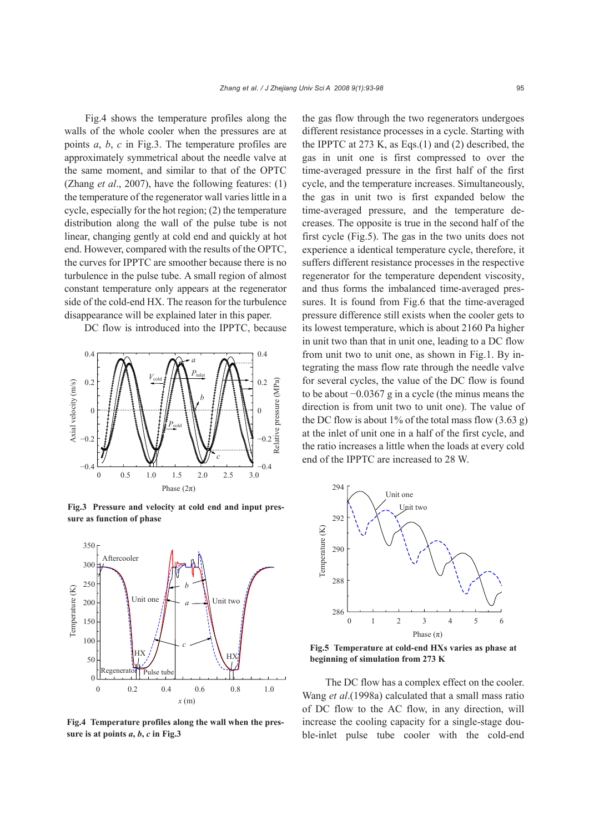Fig.4 shows the temperature profiles along the walls of the whole cooler when the pressures are at points *a*, *b*, *c* in Fig.3. The temperature profiles are approximately symmetrical about the needle valve at the same moment, and similar to that of the OPTC (Zhang *et al*., 2007), have the following features: (1) the temperature of the regenerator wall varies little in a cycle, especially for the hot region; (2) the temperature distribution along the wall of the pulse tube is not linear, changing gently at cold end and quickly at hot end. However, compared with the results of the OPTC, the curves for IPPTC are smoother because there is no turbulence in the pulse tube. A small region of almost constant temperature only appears at the regenerator side of the cold-end HX. The reason for the turbulence disappearance will be explained later in this paper.

DC flow is introduced into the IPPTC, because



**Fig.3 Pressure and velocity at cold end and input pressure as function of phase**



**Fig.4 Temperature profiles along the wall when the pres**sure is at points  $a, b, c$  in Fig.3

the gas flow through the two regenerators undergoes different resistance processes in a cycle. Starting with the IPPTC at 273 K, as Eqs.(1) and (2) described, the gas in unit one is first compressed to over the time-averaged pressure in the first half of the first cycle, and the temperature increases. Simultaneously, the gas in unit two is first expanded below the time-averaged pressure, and the temperature decreases. The opposite is true in the second half of the first cycle (Fig.5). The gas in the two units does not experience a identical temperature cycle, therefore, it suffers different resistance processes in the respective regenerator for the temperature dependent viscosity, and thus forms the imbalanced time-averaged pressures. It is found from Fig.6 that the time-averaged pressure difference still exists when the cooler gets to its lowest temperature, which is about 2160 Pa higher in unit two than that in unit one, leading to a DC flow from unit two to unit one, as shown in Fig.1. By integrating the mass flow rate through the needle valve for several cycles, the value of the DC flow is found to be about −0.0367 g in a cycle (the minus means the direction is from unit two to unit one). The value of the DC flow is about 1% of the total mass flow  $(3.63 \text{ g})$ at the inlet of unit one in a half of the first cycle, and the ratio increases a little when the loads at every cold end of the IPPTC are increased to 28 W.



**Fig.5 Temperature at cold-end HXs varies as phase at beginning of simulation from 273 K**

 The DC flow has a complex effect on the cooler. Wang *et al*.(1998a) calculated that a small mass ratio of DC flow to the AC flow, in any direction, will increase the cooling capacity for a single-stage double-inlet pulse tube cooler with the cold-end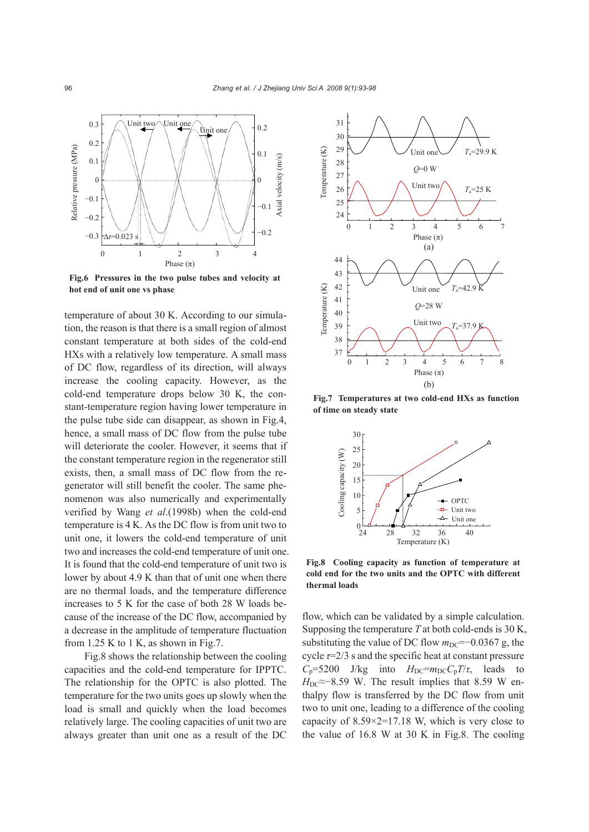

**Fig.6 Pressures in the two pulse tubes and velocity at hot end of unit one vs phase** 

temperature of about 30 K. According to our simulation, the reason is that there is a small region of almost constant temperature at both sides of the cold-end HXs with a relatively low temperature. A small mass of DC flow, regardless of its direction, will always increase the cooling capacity. However, as the cold-end temperature drops below 30 K, the constant-temperature region having lower temperature in the pulse tube side can disappear, as shown in Fig.4, hence, a small mass of DC flow from the pulse tube will deteriorate the cooler. However, it seems that if the constant temperature region in the regenerator still exists, then, a small mass of DC flow from the regenerator will still benefit the cooler. The same phenomenon was also numerically and experimentally verified by Wang *et al*.(1998b) when the cold-end temperature is 4 K. As the DC flow is from unit two to unit one, it lowers the cold-end temperature of unit two and increases the cold-end temperature of unit one. It is found that the cold-end temperature of unit two is lower by about 4.9 K than that of unit one when there are no thermal loads, and the temperature difference increases to 5 K for the case of both 28 W loads because of the increase of the DC flow, accompanied by a decrease in the amplitude of temperature fluctuation from  $1.25$  K to 1 K, as shown in Fig.7.

Fig.8 shows the relationship between the cooling capacities and the cold-end temperature for IPPTC. The relationship for the OPTC is also plotted. The temperature for the two units goes up slowly when the load is small and quickly when the load becomes relatively large. The cooling capacities of unit two are always greater than unit one as a result of the DC



**Fig.7 Temperatures at two cold-end HXs as function of time on steady state** 



**Fig.8 Cooling capacity as function of temperature at cold end for the two units and the OPTC with different thermal loads**

flow, which can be validated by a simple calculation. Supposing the temperature *T* at both cold-ends is 30 K, substituting the value of DC flow  $m<sub>DC</sub>=-0.0367$  g, the cycle *τ*=2/3 s and the specific heat at constant pressure  $C_p$ =5200 J/kg into  $H_{DC} = m_{DC} C_p T / \tau$ , leads to *H*<sub>DC</sub>≈−8.59 W. The result implies that 8.59 W enthalpy flow is transferred by the DC flow from unit two to unit one, leading to a difference of the cooling capacity of 8.59×2=17.18 W, which is very close to the value of 16.8 W at 30 K in Fig.8. The cooling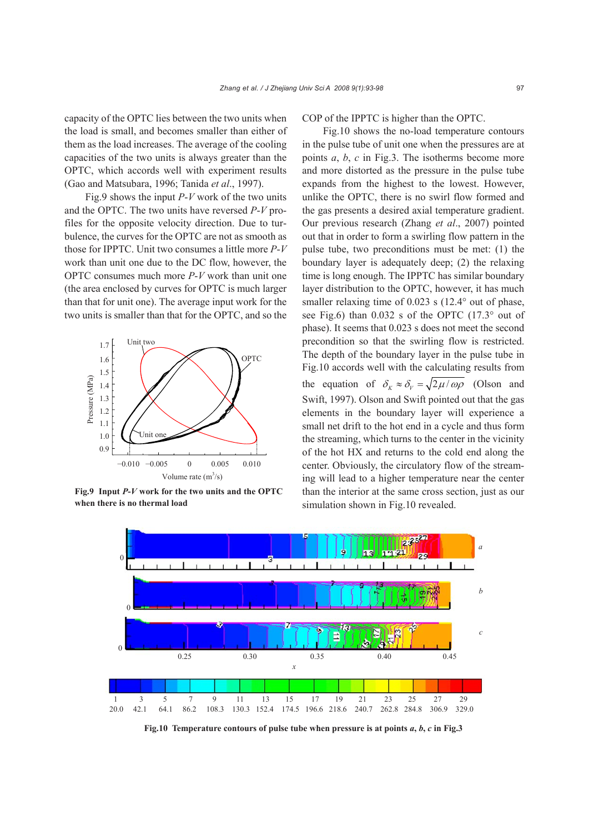capacity of the OPTC lies between the two units when the load is small, and becomes smaller than either of them as the load increases. The average of the cooling capacities of the two units is always greater than the OPTC, which accords well with experiment results (Gao and Matsubara, 1996; Tanida *et al*., 1997).

Fig.9 shows the input *P*-*V* work of the two units and the OPTC. The two units have reversed *P*-*V* profiles for the opposite velocity direction. Due to turbulence, the curves for the OPTC are not as smooth as those for IPPTC. Unit two consumes a little more *P*-*V* work than unit one due to the DC flow, however, the OPTC consumes much more *P*-*V* work than unit one (the area enclosed by curves for OPTC is much larger than that for unit one). The average input work for the two units is smaller than that for the OPTC, and so the



**Fig.9 Input** *P***-***V* **work for the two units and the OPTC when there is no thermal load**

COP of the IPPTC is higher than the OPTC.

Fig.10 shows the no-load temperature contours in the pulse tube of unit one when the pressures are at points *a*, *b*, *c* in Fig.3. The isotherms become more and more distorted as the pressure in the pulse tube expands from the highest to the lowest. However, unlike the OPTC, there is no swirl flow formed and the gas presents a desired axial temperature gradient. Our previous research (Zhang *et al*., 2007) pointed out that in order to form a swirling flow pattern in the pulse tube, two preconditions must be met: (1) the boundary layer is adequately deep; (2) the relaxing time is long enough. The IPPTC has similar boundary layer distribution to the OPTC, however, it has much smaller relaxing time of 0.023 s (12.4° out of phase, see Fig.6) than 0.032 s of the OPTC (17.3° out of phase). It seems that 0.023 s does not meet the second precondition so that the swirling flow is restricted. The depth of the boundary layer in the pulse tube in Fig.10 accords well with the calculating results from the equation of  $\delta_{\kappa} \approx \delta_{\nu} = \sqrt{2 \mu / \omega \rho}$  (Olson and Swift, 1997). Olson and Swift pointed out that the gas elements in the boundary layer will experience a small net drift to the hot end in a cycle and thus form the streaming, which turns to the center in the vicinity of the hot HX and returns to the cold end along the center. Obviously, the circulatory flow of the streaming will lead to a higher temperature near the center than the interior at the same cross section, just as our simulation shown in Fig.10 revealed.



**Fig.10** Temperature contours of pulse tube when pressure is at points  $a, b, c$  in Fig.3